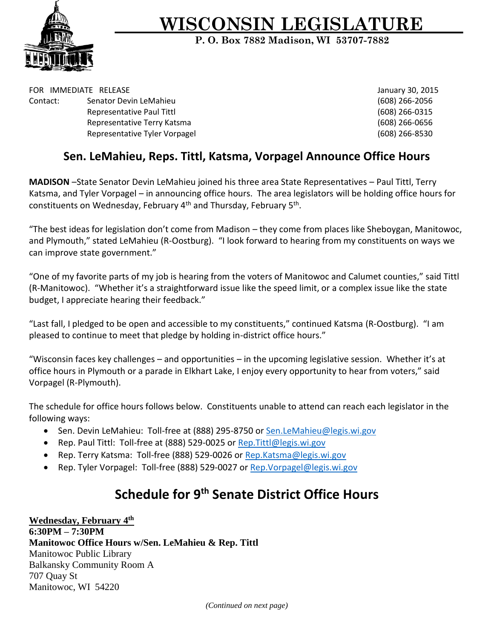

## **WISCONSIN LEGISLATURE**

**P. O. Box 7882 Madison, WI 53707-7882**

FOR IMMEDIATE RELEASE **FOR IMMEDIATE RELEASE** Contact: Senator Devin LeMahieu (608) 266-2056 Representative Paul Tittl **Contract Contract Contract Contract Contract Contract Contract Contract Contract Contract Contract Contract Contract Contract Contract Contract Contract Contract Contract Contract Contract Contra** Representative Terry Katsma (608) 266-0656 Representative Tyler Vorpagel (608) 266-8530

## **Sen. LeMahieu, Reps. Tittl, Katsma, Vorpagel Announce Office Hours**

**MADISON** –State Senator Devin LeMahieu joined his three area State Representatives – Paul Tittl, Terry Katsma, and Tyler Vorpagel – in announcing office hours. The area legislators will be holding office hours for constituents on Wednesday, February 4<sup>th</sup> and Thursday, February 5<sup>th</sup>.

"The best ideas for legislation don't come from Madison – they come from places like Sheboygan, Manitowoc, and Plymouth," stated LeMahieu (R-Oostburg). "I look forward to hearing from my constituents on ways we can improve state government."

"One of my favorite parts of my job is hearing from the voters of Manitowoc and Calumet counties," said Tittl (R-Manitowoc). "Whether it's a straightforward issue like the speed limit, or a complex issue like the state budget, I appreciate hearing their feedback."

"Last fall, I pledged to be open and accessible to my constituents," continued Katsma (R-Oostburg). "I am pleased to continue to meet that pledge by holding in-district office hours."

"Wisconsin faces key challenges – and opportunities – in the upcoming legislative session. Whether it's at office hours in Plymouth or a parade in Elkhart Lake, I enjoy every opportunity to hear from voters," said Vorpagel (R-Plymouth).

The schedule for office hours follows below. Constituents unable to attend can reach each legislator in the following ways:

- Sen. Devin LeMahieu: Toll-free at (888) 295-8750 or Sen. LeMahieu@legis.wi.gov
- Rep. Paul Tittl: Toll-free at (888) 529-0025 or Rep. Tittl@legis.wi.gov
- Rep. Terry Katsma: Toll-free (888) 529-0026 or Rep. Katsma@legis.wi.gov
- Rep. Tyler Vorpagel: Toll-free (888) 529-0027 or [Rep.Vorpagel@legis.wi.gov](mailto:Rep.Vorpagel@legis.wi.gov)

## **Schedule for 9th Senate District Office Hours**

**Wednesday, February 4th 6:30PM – 7:30PM Manitowoc Office Hours w/Sen. LeMahieu & Rep. Tittl** Manitowoc Public Library Balkansky Community Room A 707 Quay St Manitowoc, WI 54220